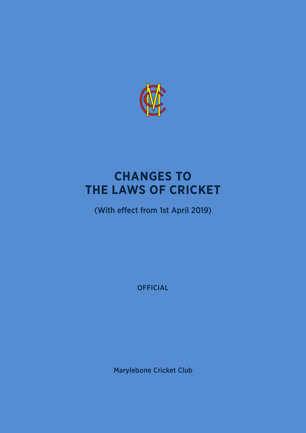

# **CHANGES TO THE LAWS OF CRICKET**

(With effect from 1st April 2019)

**OFFICIAL** 

Marylebone Cricket Club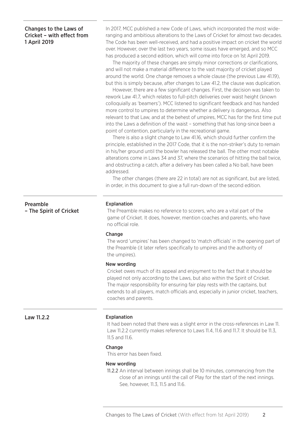# Changes to the Laws of Cricket – with effect from 1 April 2019

In 2017, MCC published a new Code of Laws, which incorporated the most wideranging and ambitious alterations to the Laws of Cricket for almost two decades. The Code has been well-received, and had a positive impact on cricket the world over. However, over the last two years, some issues have emerged, and so MCC has produced a second edition, which will come into force on 1st April 2019.

The majority of these changes are simply minor corrections or clarifications, and will not make a material difference to the vast majority of cricket played around the world. One change removes a whole clause (the previous Law 41.19), but this is simply because, after changes to Law 41.2, the clause was duplication.

However, there are a few significant changes. First, the decision was taken to rework Law 41.7, which relates to full-pitch deliveries over waist height (known colloquially as 'beamers'). MCC listened to significant feedback and has handed more control to umpires to determine whether a delivery is dangerous. Also relevant to that Law, and at the behest of umpires, MCC has for the first time put into the Laws a definition of the waist – something that has long-since been a point of contention, particularly in the recreational game.

There is also a slight change to Law 41.16, which should further confirm the principle, established in the 2017 Code, that it is the non-striker's duty to remain in his/her ground until the bowler has released the ball. The other most notable alterations come in Laws 34 and 37, where the scenarios of hitting the ball twice, and obstructing a catch, after a delivery has been called a No ball, have been addressed.

The other changes (there are 22 in total) are not as significant, but are listed, in order, in this document to give a full run-down of the second edition.

#### Explanation

The Preamble makes no reference to scorers, who are a vital part of the game of Cricket. It does, however, mention coaches and parents, who have no official role.

# **Change**

The word 'umpires' has been changed to 'match officials' in the opening part of the Preamble (it later refers specifically to umpires and the authority of the umpires).

#### New wording

Cricket owes much of its appeal and enjoyment to the fact that it should be played not only according to the Laws, but also within the Spirit of Cricket. The major responsibility for ensuring fair play rests with the captains, but extends to all players, match officials and, especially in junior cricket, teachers, coaches and parents.

# Law 11.2.2

# Explanation

It had been noted that there was a slight error in the cross-references in Law 11. Law 11.2.2 currently makes reference to Laws 11.4, 11.6 and 11.7. It should be 11.3, 11.5 and 11.6.

#### **Change**

This error has been fixed.

# New wording

11.2.2 An interval between innings shall be 10 minutes, commencing from the close of an innings until the call of Play for the start of the next innings. See, however, 11.3, 11.5 and 11.6.

Preamble

– The Spirit of Cricket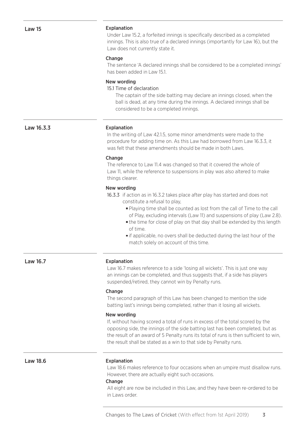# Explanation

Under Law 15.2, a forfeited innings is specifically described as a completed innings. This is also true of a declared innings (importantly for Law 16), but the Law does not currently state it.

#### Change

The sentence 'A declared innings shall be considered to be a completed innings' has been added in Law 15.1.

# New wording

15.1 Time of declaration

The captain of the side batting may declare an innings closed, when the ball is dead, at any time during the innings. A declared innings shall be considered to be a completed innings.

Law 16.3.3

#### Explanation

In the writing of Law 42.1.5, some minor amendments were made to the procedure for adding time on. As this Law had borrowed from Law 16.3.3, it was felt that these amendments should be made in both Laws.

#### **Change**

The reference to Law 11.4 was changed so that it covered the whole of Law 11, while the reference to suspensions in play was also altered to make things clearer.

# New wording

16.3.3 if action as in 16.3.2 takes place after play has started and does not constitute a refusal to play,

- Playing time shall be counted as lost from the call of Time to the call of Play, excluding intervals (Law 11) and suspensions of play (Law 2.8).
- the time for close of play on that day shall be extended by this length of time.
- **i** if applicable, no overs shall be deducted during the last hour of the match solely on account of this time.

#### Law 16.7 Explanation

Law 16.7 makes reference to a side 'losing all wickets'. This is just one way an innings can be completed, and thus suggests that, if a side has players suspended/retired, they cannot win by Penalty runs.

#### **Change**

The second paragraph of this Law has been changed to mention the side batting last's innings being completed, rather than it losing all wickets.

# New wording

If, without having scored a total of runs in excess of the total scored by the opposing side, the innings of the side batting last has been completed, but as the result of an award of 5 Penalty runs its total of runs is then sufficient to win, the result shall be stated as a win to that side by Penalty runs.

# Law 18.6 **Explanation**

Law 18.6 makes reference to four occasions when an umpire must disallow runs. However, there are actually eight such occasions.

#### Change

All eight are now be included in this Law, and they have been re-ordered to be in Laws order.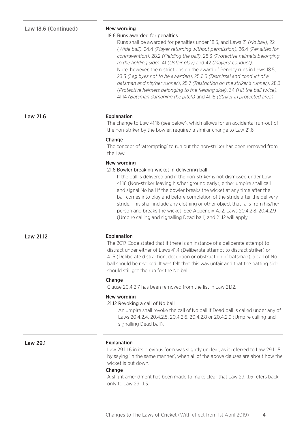#### 18.6 Runs awarded for penalties

Runs shall be awarded for penalties under 18.5, and Laws 21 *(No ball)*, 22 *(Wide ball)*, 24.4 *(Player returning without permission)*, 26.4 *(Penalties for contravention)*, 28.2 *(Fielding the ball)*, 28.3 *(Protective helmets belonging to the fielding side)*, 41 *(Unfair play)* and 42 *(Players' conduct)*. Note, however, the restrictions on the award of Penalty runs in Laws 18.5, 23.3 *(Leg byes not to be awarded)*, 25.6.5 *(Dismissal and conduct of a batsman and his/her runner)*, 25.7 *(Restriction on the striker's runner)*, 28.3 *(Protective helmets belonging to the fielding side)*, 34 *(Hit the ball twice)*, 41.14 *(Batsman damaging the pitch)* and 41.15 *(Striker in protected area)*.

#### Law 21.6 **Explanation**

The change to Law 41.16 (see below), which allows for an accidental run-out of the non-striker by the bowler, required a similar change to Law 21.6

#### Change

The concept of 'attempting' to run out the non-striker has been removed from the Law.

# New wording

#### 21.6 Bowler breaking wicket in delivering ball

If the ball is delivered and if the non-striker is not dismissed under Law 41.16 (Non-striker leaving his/her ground early), either umpire shall call and signal No ball if the bowler breaks the wicket at any time after the ball comes into play and before completion of the stride after the delivery stride. This shall include any clothing or other object that falls from his/her person and breaks the wicket. See Appendix A.12. Laws 20.4.2.8, 20.4.2.9 (Umpire calling and signalling Dead ball) and 21.12 will apply.

#### Law 21.12 Explanation

The 2017 Code stated that if there is an instance of a deliberate attempt to distract under either of Laws 41.4 (Deliberate attempt to distract striker) or 41.5 (Deliberate distraction, deception or obstruction of batsman), a call of No ball should be revoked. It was felt that this was unfair and that the batting side should still get the run for the No ball.

# **Change**

Clause 20.4.2.7 has been removed from the list in Law 21.12.

# New wording

#### 21.12 Revoking a call of No ball

An umpire shall revoke the call of No ball if Dead ball is called under any of Laws 20.4.2.4, 20.4.2.5, 20.4.2.6, 20.4.2.8 or 20.4.2.9 (Umpire calling and signalling Dead ball).

# Law 29.1

### Explanation

Law 29.1.1.6 in its previous form was slightly unclear, as it referred to Law 29.1.1.5 by saying 'in the same manner', when all of the above clauses are about how the wicket is put down.

#### **Change**

A slight amendment has been made to make clear that Law 29.1.1.6 refers back only to Law 29.1.1.5.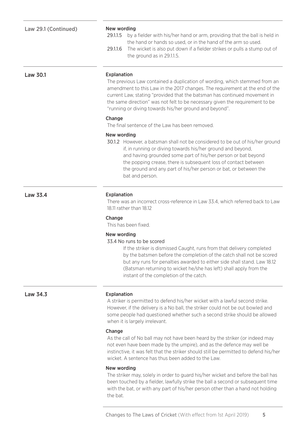| Law 29.1 (Continued) |  |
|----------------------|--|
|----------------------|--|

# New wording

- 29.1.1.5 by a fielder with his/her hand or arm, providing that the ball is held in the hand or hands so used, or in the hand of the arm so used.
- 29.1.1.6 The wicket is also put down if a fielder strikes or pulls a stump out of the ground as in 29.1.1.5.

Law 30.1

#### Explanation

The previous Law contained a duplication of wording, which stemmed from an amendment to this Law in the 2017 changes. The requirement at the end of the current Law, stating "provided that the batsman has continued movement in the same direction" was not felt to be necessary given the requirement to be "running or diving towards his/her ground and beyond".

# **Change**

The final sentence of the Law has been removed.

# New wording

30.1.2 However, a batsman shall not be considered to be out of his/her ground if, in running or diving towards his/her ground and beyond, and having grounded some part of his/her person or bat beyond the popping crease, there is subsequent loss of contact between the ground and any part of his/her person or bat, or between the bat and person.

# Explanation

There was an incorrect cross-reference in Law 33.4, which referred back to Law 18.11 rather than 18.12

### **Change**

This has been fixed.

# New wording

33.4 No runs to be scored

 If the striker is dismissed Caught, runs from that delivery completed by the batsmen before the completion of the catch shall not be scored but any runs for penalties awarded to either side shall stand. Law 18.12 (Batsman returning to wicket he/she has left) shall apply from the instant of the completion of the catch.

Law 33.4

#### Law 34.3 Explanation

A striker is permitted to defend his/her wicket with a lawful second strike. However, if the delivery is a No ball, the striker could not be out bowled and some people had questioned whether such a second strike should be allowed when it is largely irrelevant.

#### Change

As the call of No ball may not have been heard by the striker (or indeed may not even have been made by the umpire), and as the defence may well be instinctive, it was felt that the striker should still be permitted to defend his/her wicket. A sentence has thus been added to the Law.

# New wording

The striker may, solely in order to guard his/her wicket and before the ball has been touched by a fielder, lawfully strike the ball a second or subsequent time with the bat, or with any part of his/her person other than a hand not holding the bat.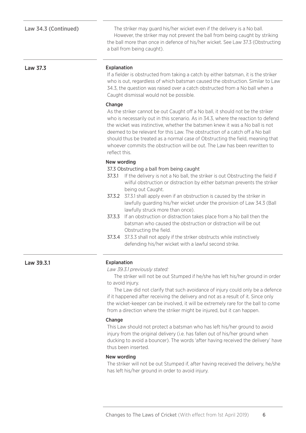Law 34.3 (Continued) The striker may guard his/her wicket even if the delivery is a No ball. However, the striker may not prevent the ball from being caught by striking the ball more than once in defence of his/her wicket. See Law 37.3 (Obstructing a ball from being caught).

# Law 37.3

### Explanation

If a fielder is obstructed from taking a catch by either batsman, it is the striker who is out, regardless of which batsman caused the obstruction. Similar to Law 34.3, the question was raised over a catch obstructed from a No ball when a Caught dismissal would not be possible.

#### Change

As the striker cannot be out Caught off a No ball, it should not be the striker who is necessarily out in this scenario. As in 34.3, where the reaction to defend the wicket was instinctive, whether the batsmen knew it was a No ball is not deemed to be relevant for this Law. The obstruction of a catch off a No ball should thus be treated as a normal case of Obstructing the field, meaning that whoever commits the obstruction will be out. The Law has been rewritten to reflect this.

# New wording

- 37.3 Obstructing a ball from being caught
- 37.3.1 If the delivery is not a No ball, the striker is out Obstructing the field if wilful obstruction or distraction by either batsman prevents the striker being out Caught.
- 37.3.2 37.3.1 shall apply even if an obstruction is caused by the striker in lawfully guarding his/her wicket under the provision of Law 34.3 (Ball lawfully struck more than once).
- 37.3.3 If an obstruction or distraction takes place from a No ball then the batsman who caused the obstruction or distraction will be out Obstructing the field.
- 37.3.4 37.3.3 shall not apply if the striker obstructs while instinctively defending his/her wicket with a lawful second strike.

Law 39.3.1

# Explanation

*Law 39.3.1 previously stated:*

The striker will not be out Stumped if he/she has left his/her ground in order to avoid injury.

The Law did not clarify that such avoidance of injury could only be a defence if it happened after receiving the delivery and not as a result of it. Since only the wicket-keeper can be involved, it will be extremely rare for the ball to come from a direction where the striker might be injured, but it can happen.

# **Change**

This Law should not protect a batsman who has left his/her ground to avoid injury from the original delivery (i.e. has fallen out of his/her ground when ducking to avoid a bouncer). The words 'after having received the delivery' have thus been inserted.

# New wording

The striker will not be out Stumped if, after having received the delivery, he/she has left his/her ground in order to avoid injury.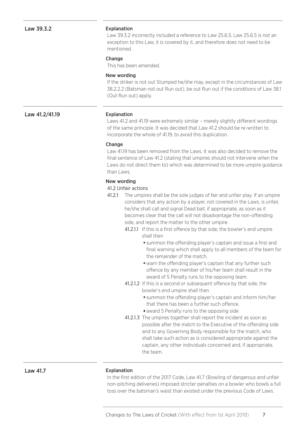#### Explanation

Law 39.3.2 incorrectly included a reference to Law 25.6.5. Law 25.6.5 is not an exception to this Law, it is covered by it, and therefore does not need to be mentioned.

### Change

This has been amended.

# New wording

If the striker is not out Stumped he/she may, except in the circumstances of Law 38.2.2.2 (Batsman not out Run out), be out Run out if the conditions of Law 38.1 (Out Run out) apply.

# Law 41.2/41.19 Explanation

Laws 41.2 and 41.19 were extremely similar – merely slightly different wordings of the same principle. It was decided that Law 41.2 should be re-written to incorporate the whole of 41.19, to avoid this duplication.

# **Change**

Law 41.19 has been removed from the Laws. It was also decided to remove the final sentence of Law 41.2 (stating that umpires should not intervene when the Laws do not direct them to) which was determined to be more umpire guidance than Laws.

# New wording

# 41.2 Unfair actions

- 41.2.1 The umpires shall be the sole judges of fair and unfair play. If an umpire considers that any action by a player, not covered in the Laws, is unfair, he/she shall call and signal Dead ball, if appropriate, as soon as it becomes clear that the call will not disadvantage the non-offending side, and report the matter to the other umpire.
	- 41.2.1.1 If this is a first offence by that side, the bowler's end umpire shall then
		- summon the offending player's captain and issue a first and final warning which shall apply to all members of the team for the remainder of the match.
		- warn the offending player's captain that any further such offence by any member of his/her team shall result in the award of 5 Penalty runs to the opposing team.
	- 41.2.1.2 If this is a second or subsequent offence by that side, the bowler's end umpire shall then
		- summon the offending player's captain and inform him/her that there has been a further such offence.
		- award 5 Penalty runs to the opposing side
	- 41.2.1.3 The umpires together shall report the incident as soon as possible after the match to the Executive of the offending side and to any Governing Body responsible for the match, who shall take such action as is considered appropriate against the captain, any other individuals concerned and, if appropriate, the team.

Law 41.7

#### Explanation

In the first edition of the 2017 Code, Law 41.7 (Bowling of dangerous and unfair non-pitching deliveries) imposed stricter penalties on a bowler who bowls a full toss over the batsman's waist than existed under the previous Code of Laws.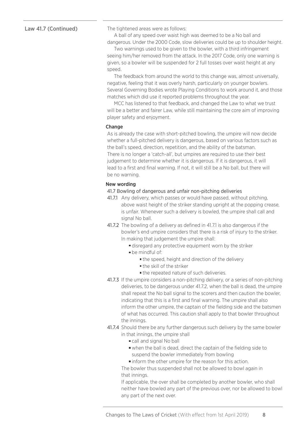# Law 41.7 (Continued)

The tightened areas were as follows:

A ball of any speed over waist high was deemed to be a No ball and dangerous. Under the 2000 Code, slow deliveries could be up to shoulder height.

Two warnings used to be given to the bowler, with a third infringement seeing him/her removed from the attack. In the 2017 Code, only one warning is given, so a bowler will be suspended for 2 full tosses over waist height at any speed.

The feedback from around the world to this change was, almost universally, negative, feeling that it was overly harsh, particularly on younger bowlers. Several Governing Bodies wrote Playing Conditions to work around it, and those matches which did use it reported problems throughout the year.

MCC has listened to that feedback, and changed the Law to what we trust will be a better and fairer Law, while still maintaining the core aim of improving player safety and enjoyment.

# Change

As is already the case with short-pitched bowling, the umpire will now decide whether a full-pitched delivery is dangerous, based on various factors such as the ball's speed, direction, repetition, and the ability of the batsman. There is no longer a 'catch-all', but umpires are required to use their best judgement to determine whether it is dangerous. If it is dangerous, it will lead to a first and final warning. If not, it will still be a No ball, but there will be no warning.

# New wording

- 41.7 Bowling of dangerous and unfair non-pitching deliveries
- 41.7.1 Any delivery, which passes or would have passed, without pitching, above waist height of the striker standing upright at the popping crease, is unfair. Whenever such a delivery is bowled, the umpire shall call and signal No ball.
- 41.7.2 The bowling of a delivery as defined in 41.7.1 is also dangerous if the bowler's end umpire considers that there is a risk of injury to the striker. In making that judgement the umpire shall:
	- disregard any protective equipment worn by the striker
	- be mindful of:
		- **the speed, height and direction of the delivery**
		- **the skill of the striker**
		- the repeated nature of such deliveries.
- 41.7.3 If the umpire considers a non-pitching delivery, or a series of non-pitching deliveries, to be dangerous under 41.7.2, when the ball is dead, the umpire shall repeat the No ball signal to the scorers and then caution the bowler, indicating that this is a first and final warning. The umpire shall also inform the other umpire, the captain of the fielding side and the batsmen of what has occurred. This caution shall apply to that bowler throughout the innings.
- 41.7.4 Should there be any further dangerous such delivery by the same bowler in that innings, the umpire shall
	- call and signal No ball
	- when the ball is dead, direct the captain of the fielding side to suspend the bowler immediately from bowling
	- inform the other umpire for the reason for this action.

 The bowler thus suspended shall not be allowed to bowl again in that innings.

 If applicable, the over shall be completed by another bowler, who shall neither have bowled any part of the previous over, nor be allowed to bowl any part of the next over.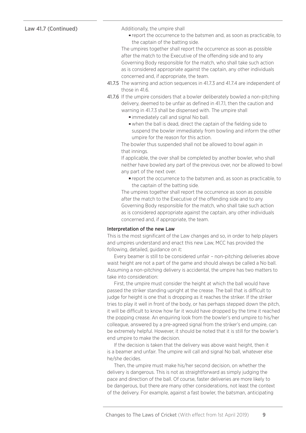# Law 41.7 (Continued)

Additionally, the umpire shall

report the occurrence to the batsmen and, as soon as practicable, to the captain of the batting side.

 The umpires together shall report the occurrence as soon as possible after the match to the Executive of the offending side and to any Governing Body responsible for the match, who shall take such action as is considered appropriate against the captain, any other individuals concerned and, if appropriate, the team.

- 41.7.5 The warning and action sequences in 41.7.3 and 41.7.4 are independent of those in  $416$ .
- 41.7.6 If the umpire considers that a bowler deliberately bowled a non-pitching delivery, deemed to be unfair as defined in 41.7.1, then the caution and warning in 41.7.3 shall be dispensed with. The umpire shall
	- immediately call and signal No ball.
	- when the ball is dead, direct the captain of the fielding side to suspend the bowler immediately from bowling and inform the other umpire for the reason for this action.

 The bowler thus suspended shall not be allowed to bowl again in that innings.

 If applicable, the over shall be completed by another bowler, who shall neither have bowled any part of the previous over, nor be allowed to bowl any part of the next over.

report the occurrence to the batsmen and, as soon as practicable, to the captain of the batting side.

 The umpires together shall report the occurrence as soon as possible after the match to the Executive of the offending side and to any Governing Body responsible for the match, who shall take such action as is considered appropriate against the captain, any other individuals concerned and, if appropriate, the team.

# Interpretation of the new Law

This is the most significant of the Law changes and so, in order to help players and umpires understand and enact this new Law, MCC has provided the following, detailed, guidance on it:

Every beamer is still to be considered unfair – non-pitching deliveries above waist height are not a part of the game and should always be called a No ball. Assuming a non-pitching delivery is accidental, the umpire has two matters to take into consideration:

First, the umpire must consider the height at which the ball would have passed the striker standing upright at the crease. The ball that is difficult to judge for height is one that is dropping as it reaches the striker. If the striker tries to play it well in front of the body, or has perhaps stepped down the pitch, it will be difficult to know how far it would have dropped by the time it reached the popping crease. An enquiring look from the bowler's end umpire to his/her colleague, answered by a pre-agreed signal from the striker's end umpire, can be extremely helpful. However, it should be noted that it is still for the bowler's end umpire to make the decision.

If the decision is taken that the delivery was above waist height, then it is a beamer and unfair. The umpire will call and signal No ball, whatever else he/she decides.

Then, the umpire must make his/her second decision, on whether the delivery is dangerous. This is not as straightforward as simply judging the pace and direction of the ball. Of course, faster deliveries are more likely to be dangerous, but there are many other considerations, not least the context of the delivery. For example, against a fast bowler, the batsman, anticipating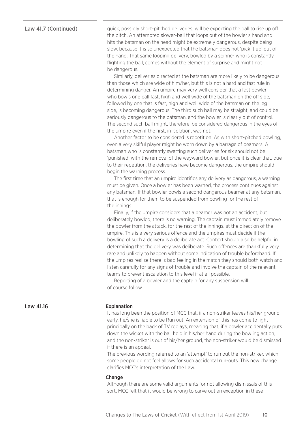# Law 41.7 (Continued)

quick, possibly short-pitched deliveries, will be expecting the ball to rise up off the pitch. An attempted slower-ball that loops out of the bowler's hand and hits the batsman on the head might be extremely dangerous, despite being slow, because it is so unexpected that the batsman does not 'pick it up' out of the hand. That same looping delivery, bowled by a spinner who is constantly flighting the ball, comes without the element of surprise and might not be dangerous.

Similarly, deliveries directed at the batsman are more likely to be dangerous than those which are wide of him/her, but this is not a hard and fast rule in determining danger. An umpire may very well consider that a fast bowler who bowls one ball fast, high and well wide of the batsman on the off side, followed by one that is fast, high and well wide of the batsman on the leg side, is becoming dangerous. The third such ball may be straight, and could be seriously dangerous to the batsman, and the bowler is clearly out of control. The second such ball might, therefore, be considered dangerous in the eyes of the umpire even if the first, in isolation, was not.

Another factor to be considered is repetition. As with short-pitched bowling, even a very skilful player might be worn down by a barrage of beamers. A batsman who is constantly swatting such deliveries for six should not be 'punished' with the removal of the wayward bowler, but once it is clear that, due to their repetition, the deliveries have become dangerous, the umpire should begin the warning process.

The first time that an umpire identifies any delivery as dangerous, a warning must be given. Once a bowler has been warned, the process continues against any batsman. If that bowler bowls a second dangerous beamer at any batsman, that is enough for them to be suspended from bowling for the rest of the innings.

Finally, if the umpire considers that a beamer was not an accident, but deliberately bowled, there is no warning. The captain must immediately remove the bowler from the attack, for the rest of the innings, at the direction of the umpire. This is a very serious offence and the umpires must decide if the bowling of such a delivery is a deliberate act. Context should also be helpful in determining that the delivery was deliberate. Such offences are thankfully very rare and unlikely to happen without some indication of trouble beforehand. If the umpires realise there is bad feeling in the match they should both watch and listen carefully for any signs of trouble and involve the captain of the relevant teams to prevent escalation to this level if at all possible.

Reporting of a bowler and the captain for any suspension will of course follow.

# Law 41.16

# Explanation

It has long been the position of MCC that, if a non-striker leaves his/her ground early, he/she is liable to be Run out. An extension of this has come to light principally on the back of TV replays, meaning that, if a bowler accidentally puts down the wicket with the ball held in his/her hand during the bowling action, and the non-striker is out of his/her ground, the non-striker would be dismissed if there is an appeal.

The previous wording referred to an 'attempt' to run out the non-striker, which some people do not feel allows for such accidental run-outs. This new change clarifies MCC's interpretation of the Law.

#### Change

Although there are some valid arguments for not allowing dismissals of this sort, MCC felt that it would be wrong to carve out an exception in these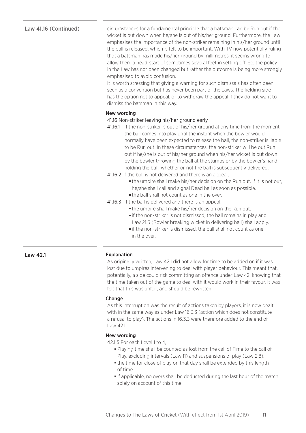# Law 41.16 (Continued)

circumstances for a fundamental principle that a batsman can be Run out if the wicket is put down when he/she is out of his/her ground. Furthermore, the Law emphasises the importance of the non-striker remaining in his/her ground until the ball is released, which is felt to be important. With TV now potentially ruling that a batsman has made his/her ground by millimetres, it seems wrong to allow them a head-start of sometimes several feet in setting off. So, the policy in the Law has not been changed but rather the outcome is being more strongly emphasised to avoid confusion.

It is worth stressing that giving a warning for such dismissals has often been seen as a convention but has never been part of the Laws. The fielding side has the option not to appeal, or to withdraw the appeal if they do not want to dismiss the batsman in this way.

# New wording

# 41.16 Non-striker leaving his/her ground early

- 41.16.1 If the non-striker is out of his/her ground at any time from the moment the ball comes into play until the instant when the bowler would normally have been expected to release the ball, the non-striker is liable to be Run out. In these circumstances, the non-striker will be out Run out if he/she is out of his/her ground when his/her wicket is put down by the bowler throwing the ball at the stumps or by the bowler's hand holding the ball, whether or not the ball is subsequently delivered.
- 41.16.2 If the ball is not delivered and there is an appeal,
	- the umpire shall make his/her decision on the Run out. If it is not out, he/she shall call and signal Dead ball as soon as possible.
	- the ball shall not count as one in the over.
- 41.16.3 If the ball is delivered and there is an appeal,
	- the umpire shall make his/her decision on the Run out.
	- if the non-striker is not dismissed, the ball remains in play and Law 21.6 (Bowler breaking wicket in delivering ball) shall apply.
	- if the non-striker is dismissed, the ball shall not count as one in the over.

# Explanation

As originally written, Law 42.1 did not allow for time to be added on if it was lost due to umpires intervening to deal with player behaviour. This meant that, potentially, a side could risk committing an offence under Law 42, knowing that the time taken out of the game to deal with it would work in their favour. It was felt that this was unfair, and should be rewritten.

# Change

As this interruption was the result of actions taken by players, it is now dealt with in the same way as under Law 16.3.3 (action which does not constitute a refusal to play). The actions in 16.3.3 were therefore added to the end of Law 42.1.

# New wording

42.1.5 For each Level 1 to 4,

- Playing time shall be counted as lost from the call of Time to the call of Play, excluding intervals (Law 11) and suspensions of play (Law 2.8).
- the time for close of play on that day shall be extended by this length of time.
- if applicable, no overs shall be deducted during the last hour of the match solely on account of this time.

Law 42.1

# Changes to The Laws of Cricket (With effect from 1st April 2019) 11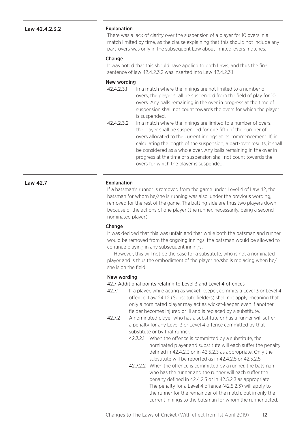# Law 42.4.2.3.2

#### Explanation

There was a lack of clarity over the suspension of a player for 10 overs in a match limited by time, as the clause explaining that this should not include any part-overs was only in the subsequent Law about limited-overs matches.

#### Change

It was noted that this should have applied to both Laws, and thus the final sentence of law 42.4.2.3.2 was inserted into Law 42.4.2.3.1

### New wording

- 42.4.2.3.1 In a match where the innings are not limited to a number of overs, the player shall be suspended from the field of play for 10 overs. Any balls remaining in the over in progress at the time of suspension shall not count towards the overs for which the player is suspended.
- 42.4.2.3.2 In a match where the innings are limited to a number of overs, the player shall be suspended for one fifth of the number of overs allocated to the current innings at its commencement. If, in calculating the length of the suspension, a part-over results, it shall be considered as a whole over. Any balls remaining in the over in progress at the time of suspension shall not count towards the overs for which the player is suspended.

# Explanation

If a batsman's runner is removed from the game under Level 4 of Law 42, the batsman for whom he/she is running was also, under the previous wording, removed for the rest of the game. The batting side are thus two players down because of the actions of one player (the runner, necessarily, being a second nominated player).

#### **Change**

It was decided that this was unfair, and that while both the batsman and runner would be removed from the ongoing innings, the batsman would be allowed to continue playing in any subsequent innings.

However, this will not be the case for a substitute, who is not a nominated player and is thus the embodiment of the player he/she is replacing when he/ she is on the field.

#### New wording

### 42.7 Additional points relating to Level 3 and Level 4 offences

- 42.7.1 If a player, while acting as wicket-keeper, commits a Level 3 or Level 4 offence, Law 24.1.2 (Substitute fielders) shall not apply, meaning that only a nominated player may act as wicket-keeper, even if another fielder becomes injured or ill and is replaced by a substitute.
- 42.7.2 A nominated player who has a substitute or has a runner will suffer a penalty for any Level 3 or Level 4 offence committed by that substitute or by that runner.
	- 42.7.2.1 When the offence is committed by a substitute, the nominated player and substitute will each suffer the penalty defined in 42.4.2.3 or in 42.5.2.3 as appropriate. Only the substitute will be reported as in 42.4.2.5 or 42.5.2.5.
	- 42.7.2.2 When the offence is committed by a runner, the batsman who has the runner and the runner will each suffer the penalty defined in 42.4.2.3 or in 42.5.2.3 as appropriate. The penalty for a Level 4 offence (42.5.2.3) will apply to the runner for the remainder of the match, but in only the current innings to the batsman for whom the runner acted.

Law 42.7